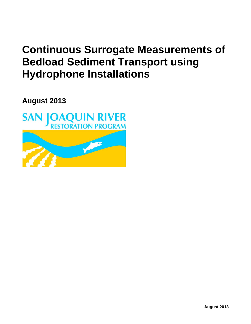## **Continuous Surrogate Measurements of Bedload Sediment Transport using Hydrophone Installations**

**August 2013**

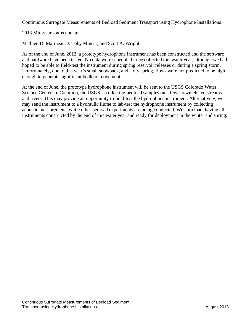Continuous Surrogate Measurements of Bedload Sediment Transport using Hydrophone Installations

2013 Mid-year status update

Mathieu D. Marineau, J. Toby Minear, and Scott A. Wright

As of the end of June, 2013, a prototype hydrophone instrument has been constructed and the software and hardware have been tested. No data were scheduled to be collected this water year, although we had hoped to be able to field-test the instrument during spring reservoir releases or during a spring storm. Unfortunately, due to this year's small snowpack, and a dry spring, flows were not predicted to be high enough to generate significant bedload movement.

At the end of June, the prototype hydrophone instrument will be sent to the USGS Colorado Water Science Center. In Colorado, the USGS is collecting bedload samples on a few snowmelt-fed streams and rivers. This may provide an opportunity to field-test the hydrophone instrument. Alternatively, we may send the instrument to a hydraulic flume to lab-test the hydrophone instrument by collecting acoustic measurements while other bedload experiments are being conducted. We anticipate having all instruments constructed by the end of this water year and ready for deployment in the winter and spring.